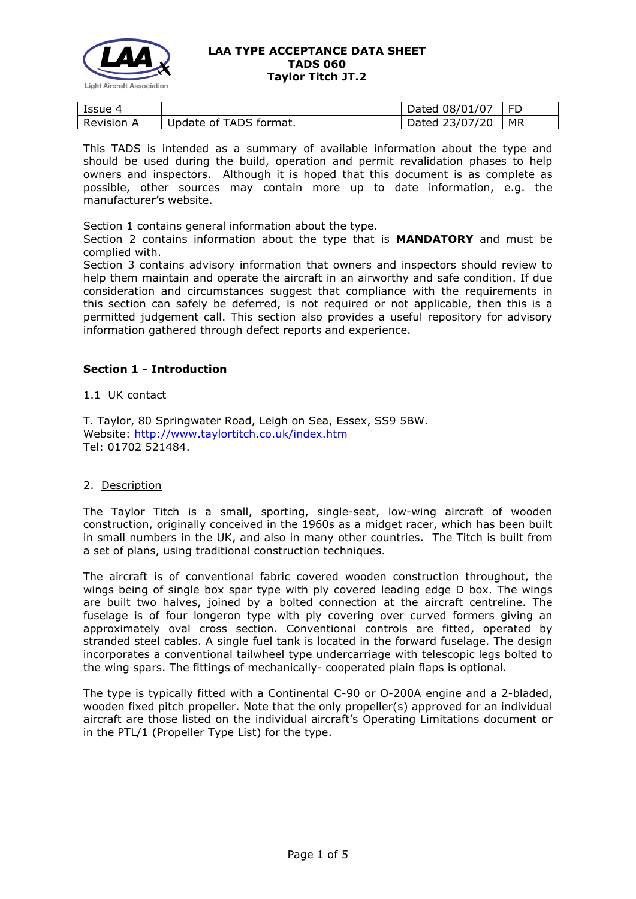

| Issue 4           |                        | Dated 08/01/07 | - FD |
|-------------------|------------------------|----------------|------|
| <b>Revision A</b> | Update of TADS format. | Dated 23/07/20 | MR   |

This TADS is intended as a summary of available information about the type and should be used during the build, operation and permit revalidation phases to help owners and inspectors. Although it is hoped that this document is as complete as possible, other sources may contain more up to date information, e.g. the manufacturer's website.

Section 1 contains general information about the type.

Section 2 contains information about the type that is **MANDATORY** and must be complied with.

Section 3 contains advisory information that owners and inspectors should review to help them maintain and operate the aircraft in an airworthy and safe condition. If due consideration and circumstances suggest that compliance with the requirements in this section can safely be deferred, is not required or not applicable, then this is a permitted judgement call. This section also provides a useful repository for advisory information gathered through defect reports and experience.

### **Section 1 - Introduction**

#### 1.1 UK contact

T. Taylor, 80 Springwater Road, Leigh on Sea, Essex, SS9 5BW. Website: <http://www.taylortitch.co.uk/index.htm> Tel: 01702 521484.

### 2. Description

The Taylor Titch is a small, sporting, single-seat, low-wing aircraft of wooden construction, originally conceived in the 1960s as a midget racer, which has been built in small numbers in the UK, and also in many other countries. The Titch is built from a set of plans, using traditional construction techniques.

The aircraft is of conventional fabric covered wooden construction throughout, the wings being of single box spar type with ply covered leading edge D box. The wings are built two halves, joined by a bolted connection at the aircraft centreline. The fuselage is of four longeron type with ply covering over curved formers giving an approximately oval cross section. Conventional controls are fitted, operated by stranded steel cables. A single fuel tank is located in the forward fuselage. The design incorporates a conventional tailwheel type undercarriage with telescopic legs bolted to the wing spars. The fittings of mechanically- cooperated plain flaps is optional.

The type is typically fitted with a Continental C-90 or O-200A engine and a 2-bladed, wooden fixed pitch propeller. Note that the only propeller(s) approved for an individual aircraft are those listed on the individual aircraft's Operating Limitations document or in the PTL/1 (Propeller Type List) for the type.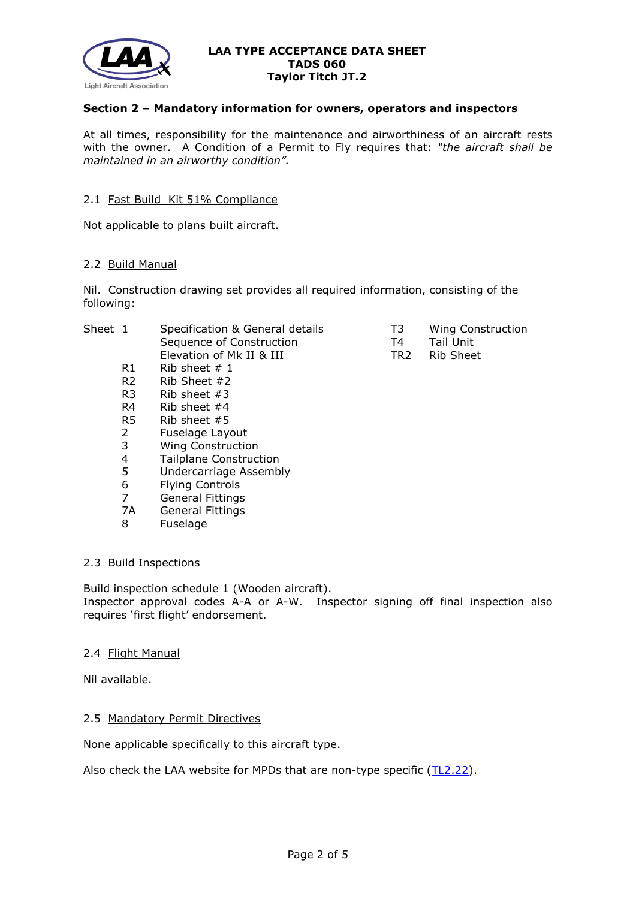

# **Section 2 – Mandatory information for owners, operators and inspectors**

At all times, responsibility for the maintenance and airworthiness of an aircraft rests with the owner. A Condition of a Permit to Fly requires that: *"the aircraft shall be maintained in an airworthy condition".* 

### 2.1 Fast Build Kit 51% Compliance

Not applicable to plans built aircraft.

#### 2.2 Build Manual

Nil. Construction drawing set provides all required information, consisting of the following:

| Sheet 1 |                | Specification & General details | T3  | <b>Wing Construction</b> |
|---------|----------------|---------------------------------|-----|--------------------------|
|         |                | Sequence of Construction        | Τ4  | Tail Unit                |
|         |                | Elevation of Mk II & III        | TR2 | Rib Sheet                |
|         | R1             | Rib sheet $# 1$                 |     |                          |
|         | R <sub>2</sub> | Rib Sheet $#2$                  |     |                          |
|         | R <sub>3</sub> | Rib sheet $#3$                  |     |                          |
|         | R4             | Rib sheet $#4$                  |     |                          |
|         | R5             | Rib sheet $#5$                  |     |                          |
|         | 2              | Fuselage Layout                 |     |                          |
|         | 3              | <b>Wing Construction</b>        |     |                          |
|         | 4              | <b>Tailplane Construction</b>   |     |                          |
|         | 5              | Undercarriage Assembly          |     |                          |
|         | 6              | <b>Flying Controls</b>          |     |                          |
|         | 7              | General Fittings                |     |                          |
|         | 7A             | <b>General Fittings</b>         |     |                          |
|         | 8              | Fuselage                        |     |                          |
|         |                |                                 |     |                          |

#### 2.3 Build Inspections

Build inspection schedule 1 (Wooden aircraft). Inspector approval codes A-A or A-W. Inspector signing off final inspection also requires 'first flight' endorsement.

#### 2.4 Flight Manual

Nil available.

### 2.5 Mandatory Permit Directives

None applicable specifically to this aircraft type.

Also check the LAA website for MPDs that are non-type specific [\(TL2.22\)](http://www.lightaircraftassociation.co.uk/engineering/TechnicalLeaflets/Operating%20An%20Aircraft/TL%202.22%20non-type%20specific%20MPDs.pdf).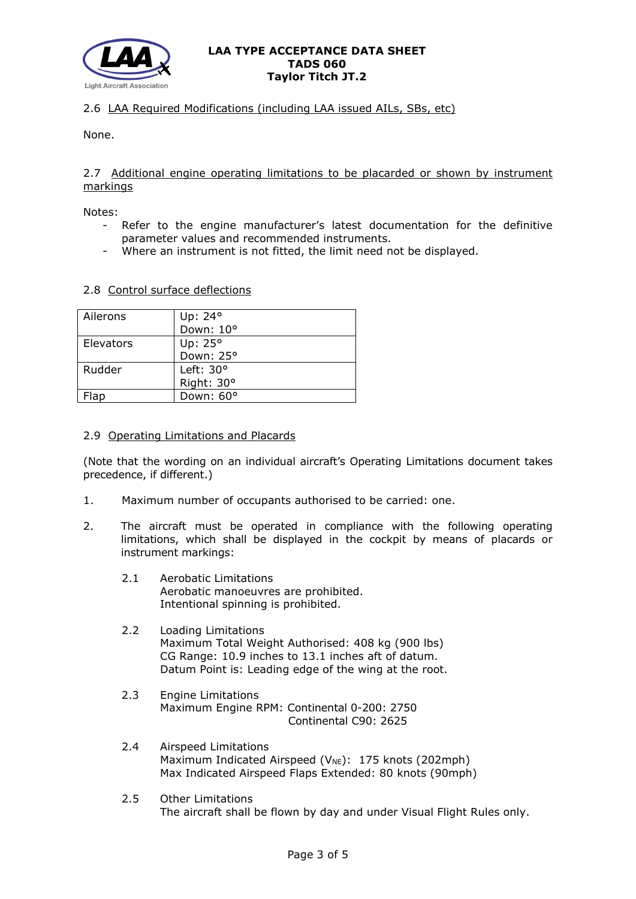

# 2.6 LAA Required Modifications (including LAA issued AILs, SBs, etc)

None.

## 2.7 Additional engine operating limitations to be placarded or shown by instrument markings

Notes:

- Refer to the engine manufacturer's latest documentation for the definitive parameter values and recommended instruments.
- Where an instrument is not fitted, the limit need not be displayed.

### 2.8 Control surface deflections

| Ailerons  | Up: 24°            |
|-----------|--------------------|
|           | Down: 10°          |
| Elevators | Up: 25°            |
|           | Down: 25°          |
| Rudder    | Left: $30^{\circ}$ |
|           | Right: 30°         |
| Flap      | Down: 60°          |

### 2.9 Operating Limitations and Placards

(Note that the wording on an individual aircraft's Operating Limitations document takes precedence, if different.)

- 1. Maximum number of occupants authorised to be carried: one.
- 2. The aircraft must be operated in compliance with the following operating limitations, which shall be displayed in the cockpit by means of placards or instrument markings:
	- 2.1 Aerobatic Limitations Aerobatic manoeuvres are prohibited. Intentional spinning is prohibited.
	- 2.2 Loading Limitations Maximum Total Weight Authorised: 408 kg (900 lbs) CG Range: 10.9 inches to 13.1 inches aft of datum. Datum Point is: Leading edge of the wing at the root.
	- 2.3 Engine Limitations Maximum Engine RPM: Continental 0-200: 2750 Continental C90: 2625
	- 2.4 Airspeed Limitations Maximum Indicated Airspeed ( $V_{NE}$ ): 175 knots (202mph) Max Indicated Airspeed Flaps Extended: 80 knots (90mph)
	- 2.5 Other Limitations The aircraft shall be flown by day and under Visual Flight Rules only.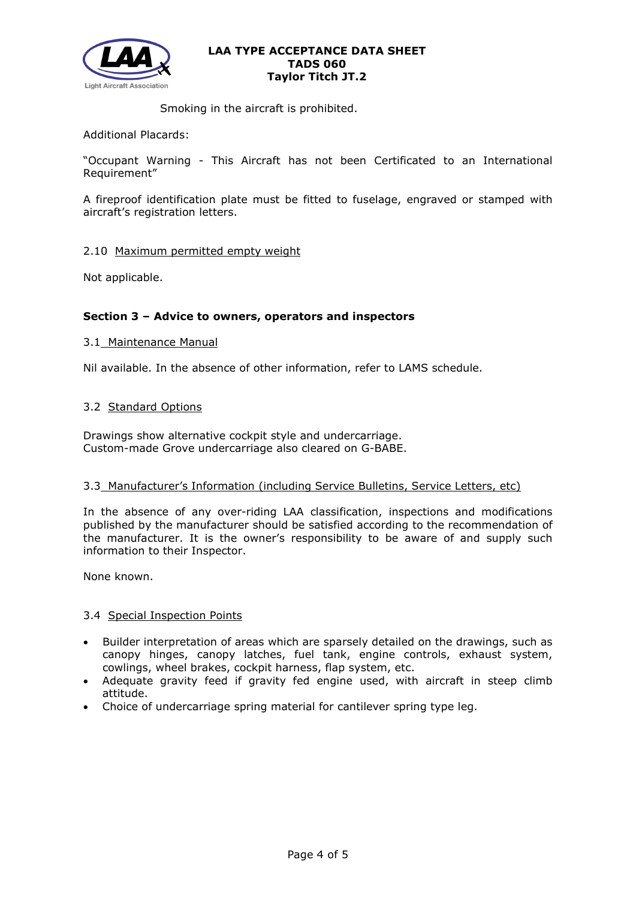

Smoking in the aircraft is prohibited.

Additional Placards:

"Occupant Warning - This Aircraft has not been Certificated to an International Requirement"

A fireproof identification plate must be fitted to fuselage, engraved or stamped with aircraft's registration letters.

### 2.10 Maximum permitted empty weight

Not applicable.

# **Section 3 – Advice to owners, operators and inspectors**

### 3.1 Maintenance Manual

Nil available. In the absence of other information, refer to LAMS schedule.

### 3.2 Standard Options

Drawings show alternative cockpit style and undercarriage. Custom-made Grove undercarriage also cleared on G-BABE.

### 3.3 Manufacturer's Information (including Service Bulletins, Service Letters, etc)

In the absence of any over-riding LAA classification, inspections and modifications published by the manufacturer should be satisfied according to the recommendation of the manufacturer. It is the owner's responsibility to be aware of and supply such information to their Inspector.

None known.

### 3.4 Special Inspection Points

- Builder interpretation of areas which are sparsely detailed on the drawings, such as canopy hinges, canopy latches, fuel tank, engine controls, exhaust system, cowlings, wheel brakes, cockpit harness, flap system, etc.
- Adequate gravity feed if gravity fed engine used, with aircraft in steep climb attitude.
- Choice of undercarriage spring material for cantilever spring type leg.